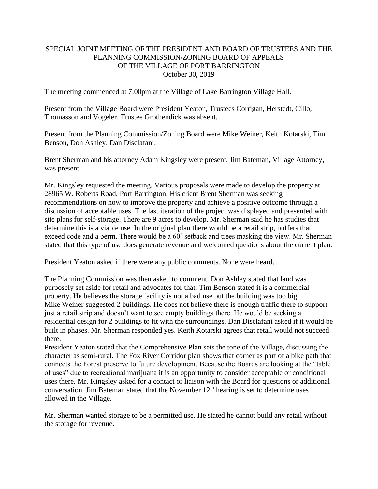## SPECIAL JOINT MEETING OF THE PRESIDENT AND BOARD OF TRUSTEES AND THE PLANNING COMMISSION/ZONING BOARD OF APPEALS OF THE VILLAGE OF PORT BARRINGTON October 30, 2019

The meeting commenced at 7:00pm at the Village of Lake Barrington Village Hall.

Present from the Village Board were President Yeaton, Trustees Corrigan, Herstedt, Cillo, Thomasson and Vogeler. Trustee Grothendick was absent.

Present from the Planning Commission/Zoning Board were Mike Weiner, Keith Kotarski, Tim Benson, Don Ashley, Dan Disclafani.

Brent Sherman and his attorney Adam Kingsley were present. Jim Bateman, Village Attorney, was present.

Mr. Kingsley requested the meeting. Various proposals were made to develop the property at 28965 W. Roberts Road, Port Barrington. His client Brent Sherman was seeking recommendations on how to improve the property and achieve a positive outcome through a discussion of acceptable uses. The last iteration of the project was displayed and presented with site plans for self-storage. There are 9 acres to develop. Mr. Sherman said he has studies that determine this is a viable use. In the original plan there would be a retail strip, buffers that exceed code and a berm. There would be a 60' setback and trees masking the view. Mr. Sherman stated that this type of use does generate revenue and welcomed questions about the current plan.

President Yeaton asked if there were any public comments. None were heard.

The Planning Commission was then asked to comment. Don Ashley stated that land was purposely set aside for retail and advocates for that. Tim Benson stated it is a commercial property. He believes the storage facility is not a bad use but the building was too big. Mike Weiner suggested 2 buildings. He does not believe there is enough traffic there to support just a retail strip and doesn't want to see empty buildings there. He would be seeking a residential design for 2 buildings to fit with the surroundings. Dan Disclafani asked if it would be built in phases. Mr. Sherman responded yes. Keith Kotarski agrees that retail would not succeed there.

President Yeaton stated that the Comprehensive Plan sets the tone of the Village, discussing the character as semi-rural. The Fox River Corridor plan shows that corner as part of a bike path that connects the Forest preserve to future development. Because the Boards are looking at the "table of uses" due to recreational marijuana it is an opportunity to consider acceptable or conditional uses there. Mr. Kingsley asked for a contact or liaison with the Board for questions or additional conversation. Jim Bateman stated that the November  $12<sup>th</sup>$  hearing is set to determine uses allowed in the Village.

Mr. Sherman wanted storage to be a permitted use. He stated he cannot build any retail without the storage for revenue.